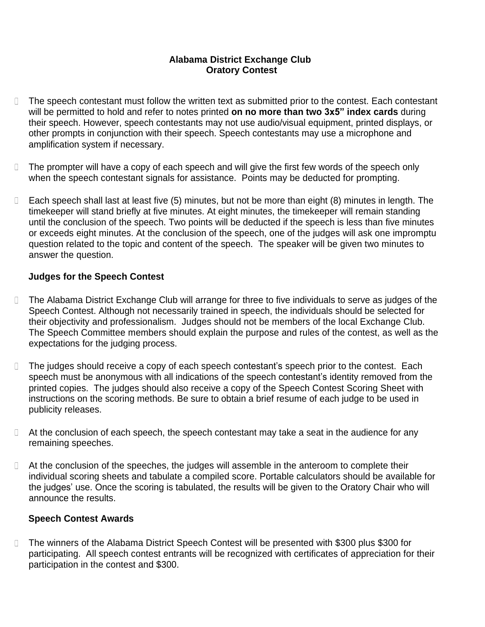## **Alabama District Exchange Club Oratory Contest**

- $\Box$ The speech contestant must follow the written text as submitted prior to the contest. Each contestant will be permitted to hold and refer to notes printed **on no more than two 3x5" index cards** during their speech. However, speech contestants may not use audio/visual equipment, printed displays, or other prompts in conjunction with their speech. Speech contestants may use a microphone and amplification system if necessary.
- The prompter will have a copy of each speech and will give the first few words of the speech only  $\Box$ when the speech contestant signals for assistance. Points may be deducted for prompting.
- Each speech shall last at least five (5) minutes, but not be more than eight (8) minutes in length. The  $\Box$ timekeeper will stand briefly at five minutes. At eight minutes, the timekeeper will remain standing until the conclusion of the speech. Two points will be deducted if the speech is less than five minutes or exceeds eight minutes. At the conclusion of the speech, one of the judges will ask one impromptu question related to the topic and content of the speech. The speaker will be given two minutes to answer the question.

## **Judges for the Speech Contest**

- The Alabama District Exchange Club will arrange for three to five individuals to serve as judges of the  $\Box$ Speech Contest. Although not necessarily trained in speech, the individuals should be selected for their objectivity and professionalism. Judges should not be members of the local Exchange Club. The Speech Committee members should explain the purpose and rules of the contest, as well as the expectations for the judging process.
- $\Box$ The judges should receive a copy of each speech contestant's speech prior to the contest. Each speech must be anonymous with all indications of the speech contestant's identity removed from the printed copies. The judges should also receive a copy of the Speech Contest Scoring Sheet with instructions on the scoring methods. Be sure to obtain a brief resume of each judge to be used in publicity releases.
- $\Box$  At the conclusion of each speech, the speech contestant may take a seat in the audience for any remaining speeches.
- □ At the conclusion of the speeches, the judges will assemble in the anteroom to complete their individual scoring sheets and tabulate a compiled score. Portable calculators should be available for the judges' use. Once the scoring is tabulated, the results will be given to the Oratory Chair who will announce the results.

## **Speech Contest Awards**

The winners of the Alabama District Speech Contest will be presented with \$300 plus \$300 for  $\Box$ participating. All speech contest entrants will be recognized with certificates of appreciation for their participation in the contest and \$300.